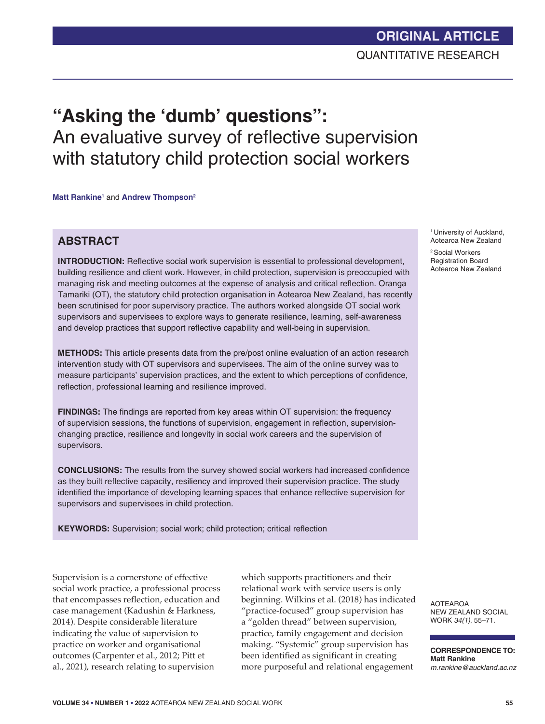# **"Asking the 'dumb' questions":** An evaluative survey of reflective supervision with statutory child protection social workers

**Matt Rankine<sup>1</sup> and Andrew Thompson<sup>2</sup>** 

### **ABSTRACT**

**INTRODUCTION:** Reflective social work supervision is essential to professional development, building resilience and client work. However, in child protection, supervision is preoccupied with managing risk and meeting outcomes at the expense of analysis and critical reflection. Oranga Tamariki (OT), the statutory child protection organisation in Aotearoa New Zealand, has recently been scrutinised for poor supervisory practice. The authors worked alongside OT social work supervisors and supervisees to explore ways to generate resilience, learning, self-awareness and develop practices that support reflective capability and well-being in supervision.

**METHODS:** This article presents data from the pre/post online evaluation of an action research intervention study with OT supervisors and supervisees. The aim of the online survey was to measure participants' supervision practices, and the extent to which perceptions of confidence, reflection, professional learning and resilience improved.

**FINDINGS:** The findings are reported from key areas within OT supervision: the frequency of supervision sessions, the functions of supervision, engagement in reflection, supervisionchanging practice, resilience and longevity in social work careers and the supervision of supervisors.

**CONCLUSIONS:** The results from the survey showed social workers had increased confidence as they built reflective capacity, resiliency and improved their supervision practice. The study identified the importance of developing learning spaces that enhance reflective supervision for supervisors and supervisees in child protection.

**KEYWORDS:** Supervision; social work; child protection; critical reflection

Supervision is a cornerstone of effective social work practice, a professional process that encompasses reflection, education and case management (Kadushin & Harkness, 2014). Despite considerable literature indicating the value of supervision to practice on worker and organisational outcomes (Carpenter et al., 2012; Pitt et al., 2021), research relating to supervision

which supports practitioners and their relational work with service users is only beginning. Wilkins et al. (2018) has indicated "practice-focused" group supervision has a "golden thread" between supervision, practice, family engagement and decision making. "Systemic" group supervision has been identified as significant in creating more purposeful and relational engagement

<sup>1</sup> University of Auckland, Aotearoa New Zealand

2 Social Workers Registration Board Aotearoa New Zealand

AOTEAROA NEW ZEALAND SOCIAL WORK *34(1)*, 55–71.

**CORRESPONDENCE TO: Matt Rankine** *m.rankine@auckland.ac.nz*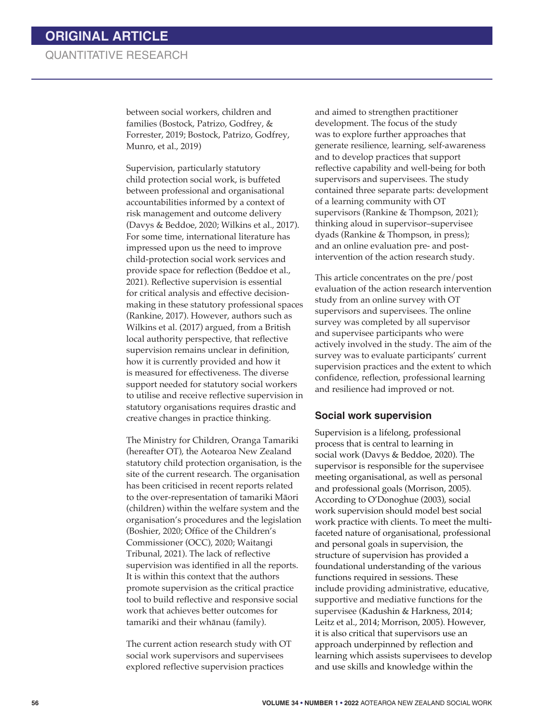between social workers, children and families (Bostock, Patrizo, Godfrey, & Forrester, 2019; Bostock, Patrizo, Godfrey, Munro, et al., 2019)

Supervision, particularly statutory child protection social work, is buffeted between professional and organisational accountabilities informed by a context of risk management and outcome delivery (Davys & Beddoe, 2020; Wilkins et al., 2017). For some time, international literature has impressed upon us the need to improve child-protection social work services and provide space for reflection (Beddoe et al., 2021). Reflective supervision is essential for critical analysis and effective decisionmaking in these statutory professional spaces (Rankine, 2017). However, authors such as Wilkins et al. (2017) argued, from a British local authority perspective, that reflective supervision remains unclear in definition, how it is currently provided and how it is measured for effectiveness. The diverse support needed for statutory social workers to utilise and receive reflective supervision in statutory organisations requires drastic and creative changes in practice thinking.

The Ministry for Children, Oranga Tamariki (hereafter OT), the Aotearoa New Zealand statutory child protection organisation, is the site of the current research*.* The organisation has been criticised in recent reports related to the over-representation of tamariki Māori (children) within the welfare system and the organisation's procedures and the legislation (Boshier, 2020; Office of the Children's Commissioner (OCC), 2020; Waitangi Tribunal, 2021). The lack of reflective supervision was identified in all the reports. It is within this context that the authors promote supervision as the critical practice tool to build reflective and responsive social work that achieves better outcomes for tamariki and their whānau (family).

The current action research study with OT social work supervisors and supervisees explored reflective supervision practices

and aimed to strengthen practitioner development. The focus of the study was to explore further approaches that generate resilience, learning, self-awareness and to develop practices that support reflective capability and well-being for both supervisors and supervisees. The study contained three separate parts: development of a learning community with OT supervisors (Rankine & Thompson, 2021); thinking aloud in supervisor–supervisee dyads (Rankine & Thompson, in press); and an online evaluation pre- and postintervention of the action research study.

This article concentrates on the pre/post evaluation of the action research intervention study from an online survey with OT supervisors and supervisees. The online survey was completed by all supervisor and supervisee participants who were actively involved in the study. The aim of the survey was to evaluate participants' current supervision practices and the extent to which confidence, reflection, professional learning and resilience had improved or not.

#### **Social work supervision**

Supervision is a lifelong, professional process that is central to learning in social work (Davys & Beddoe, 2020). The supervisor is responsible for the supervisee meeting organisational, as well as personal and professional goals (Morrison, 2005). According to O'Donoghue (2003), social work supervision should model best social work practice with clients. To meet the multifaceted nature of organisational, professional and personal goals in supervision, the structure of supervision has provided a foundational understanding of the various functions required in sessions. These include providing administrative, educative, supportive and mediative functions for the supervisee (Kadushin & Harkness, 2014; Leitz et al., 2014; Morrison, 2005). However, it is also critical that supervisors use an approach underpinned by reflection and learning which assists supervisees to develop and use skills and knowledge within the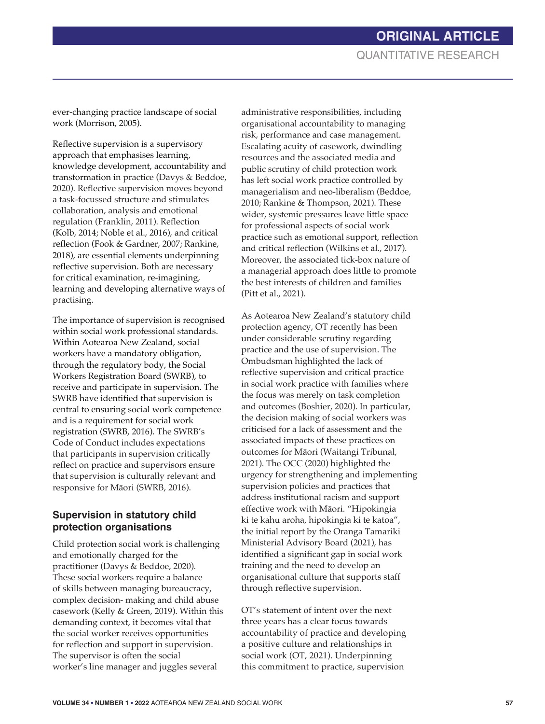ever-changing practice landscape of social work (Morrison, 2005).

Reflective supervision is a supervisory approach that emphasises learning, knowledge development, accountability and transformation in practice (Davys & Beddoe, 2020). Reflective supervision moves beyond a task-focussed structure and stimulates collaboration, analysis and emotional regulation (Franklin, 2011). Reflection (Kolb, 2014; Noble et al., 2016), and critical reflection (Fook & Gardner, 2007; Rankine, 2018), are essential elements underpinning reflective supervision. Both are necessary for critical examination, re-imagining, learning and developing alternative ways of practising.

The importance of supervision is recognised within social work professional standards. Within Aotearoa New Zealand, social workers have a mandatory obligation, through the regulatory body, the Social Workers Registration Board (SWRB), to receive and participate in supervision. The SWRB have identified that supervision is central to ensuring social work competence and is a requirement for social work registration (SWRB, 2016). The SWRB's Code of Conduct includes expectations that participants in supervision critically reflect on practice and supervisors ensure that supervision is culturally relevant and responsive for Māori (SWRB, 2016).

### **Supervision in statutory child protection organisations**

Child protection social work is challenging and emotionally charged for the practitioner (Davys & Beddoe, 2020)*.*  These social workers require a balance of skills between managing bureaucracy, complex decision- making and child abuse casework (Kelly & Green, 2019). Within this demanding context, it becomes vital that the social worker receives opportunities for reflection and support in supervision. The supervisor is often the social worker's line manager and juggles several

administrative responsibilities, including organisational accountability to managing risk, performance and case management. Escalating acuity of casework, dwindling resources and the associated media and public scrutiny of child protection work has left social work practice controlled by managerialism and neo-liberalism (Beddoe, 2010; Rankine & Thompson, 2021). These wider, systemic pressures leave little space for professional aspects of social work practice such as emotional support, reflection and critical reflection (Wilkins et al., 2017). Moreover, the associated tick-box nature of a managerial approach does little to promote the best interests of children and families (Pitt et al., 2021).

As Aotearoa New Zealand's statutory child protection agency, OT recently has been under considerable scrutiny regarding practice and the use of supervision. The Ombudsman highlighted the lack of reflective supervision and critical practice in social work practice with families where the focus was merely on task completion and outcomes (Boshier, 2020). In particular, the decision making of social workers was criticised for a lack of assessment and the associated impacts of these practices on outcomes for Māori (Waitangi Tribunal, 2021). The OCC (2020) highlighted the urgency for strengthening and implementing supervision policies and practices that address institutional racism and support effective work with Māori. "Hipokingia ki te kahu aroha, hipokingia ki te katoa", the initial report by the Oranga Tamariki Ministerial Advisory Board (2021), has identified a significant gap in social work training and the need to develop an organisational culture that supports staff through reflective supervision.

OT's statement of intent over the next three years has a clear focus towards accountability of practice and developing a positive culture and relationships in social work (OT, 2021). Underpinning this commitment to practice, supervision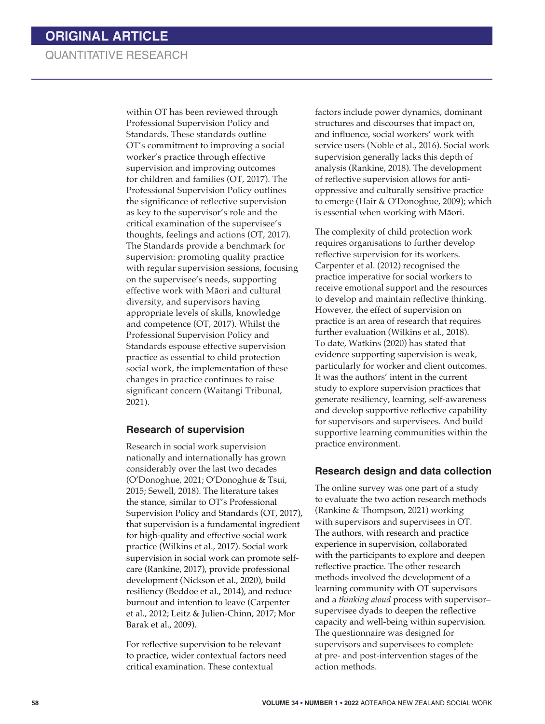within OT has been reviewed through Professional Supervision Policy and Standards. These standards outline OT's commitment to improving a social worker's practice through effective supervision and improving outcomes for children and families (OT, 2017). The Professional Supervision Policy outlines the significance of reflective supervision as key to the supervisor's role and the critical examination of the supervisee's thoughts, feelings and actions (OT, 2017). The Standards provide a benchmark for supervision: promoting quality practice with regular supervision sessions, focusing on the supervisee's needs, supporting effective work with Māori and cultural diversity, and supervisors having appropriate levels of skills, knowledge and competence (OT, 2017). Whilst the Professional Supervision Policy and Standards espouse effective supervision practice as essential to child protection social work, the implementation of these changes in practice continues to raise significant concern (Waitangi Tribunal, 2021).

#### **Research of supervision**

Research in social work supervision nationally and internationally has grown considerably over the last two decades (O'Donoghue, 2021; O'Donoghue & Tsui, 2015; Sewell, 2018). The literature takes the stance, similar to OT's Professional Supervision Policy and Standards (OT, 2017), that supervision is a fundamental ingredient for high-quality and effective social work practice (Wilkins et al., 2017). Social work supervision in social work can promote selfcare (Rankine, 2017), provide professional development (Nickson et al., 2020), build resiliency (Beddoe et al., 2014), and reduce burnout and intention to leave (Carpenter et al., 2012; Leitz & Julien-Chinn, 2017; Mor Barak et al., 2009).

For reflective supervision to be relevant to practice, wider contextual factors need critical examination. These contextual

factors include power dynamics, dominant structures and discourses that impact on, and influence, social workers' work with service users (Noble et al., 2016). Social work supervision generally lacks this depth of analysis (Rankine, 2018). The development of reflective supervision allows for antioppressive and culturally sensitive practice to emerge (Hair & O'Donoghue, 2009); which is essential when working with Māori.

The complexity of child protection work requires organisations to further develop reflective supervision for its workers. Carpenter et al. (2012) recognised the practice imperative for social workers to receive emotional support and the resources to develop and maintain reflective thinking. However, the effect of supervision on practice is an area of research that requires further evaluation (Wilkins et al., 2018). To date, Watkins (2020) has stated that evidence supporting supervision is weak, particularly for worker and client outcomes. It was the authors' intent in the current study to explore supervision practices that generate resiliency, learning, self-awareness and develop supportive reflective capability for supervisors and supervisees. And build supportive learning communities within the practice environment.

#### **Research design and data collection**

The online survey was one part of a study to evaluate the two action research methods (Rankine & Thompson, 2021) working with supervisors and supervisees in OT. The authors, with research and practice experience in supervision, collaborated with the participants to explore and deepen reflective practice. The other research methods involved the development of a learning community with OT supervisors and a *thinking aloud* process with supervisor– supervisee dyads to deepen the reflective capacity and well-being within supervision. The questionnaire was designed for supervisors and supervisees to complete at pre- and post-intervention stages of the action methods.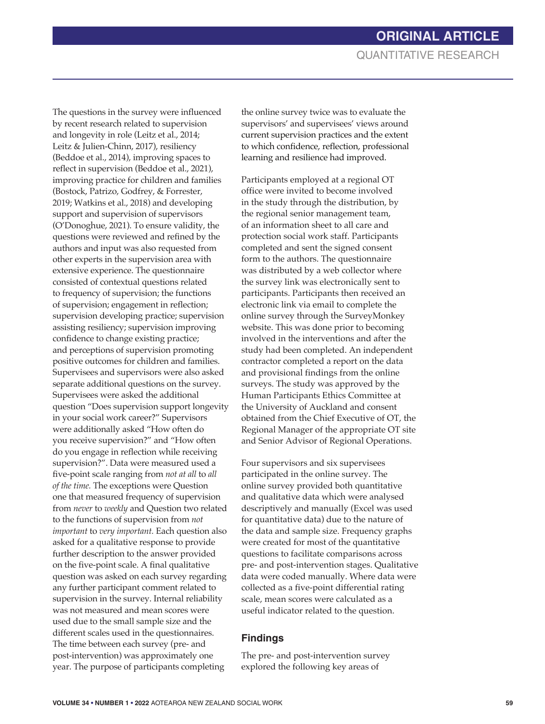The questions in the survey were influenced by recent research related to supervision and longevity in role (Leitz et al., 2014; Leitz & Julien-Chinn, 2017), resiliency (Beddoe et al., 2014), improving spaces to reflect in supervision (Beddoe et al., 2021), improving practice for children and families (Bostock, Patrizo, Godfrey, & Forrester, 2019; Watkins et al., 2018) and developing support and supervision of supervisors (O'Donoghue, 2021). To ensure validity, the questions were reviewed and refined by the authors and input was also requested from other experts in the supervision area with extensive experience. The questionnaire consisted of contextual questions related to frequency of supervision; the functions of supervision; engagement in reflection; supervision developing practice; supervision assisting resiliency; supervision improving confidence to change existing practice; and perceptions of supervision promoting positive outcomes for children and families. Supervisees and supervisors were also asked separate additional questions on the survey. Supervisees were asked the additional question "Does supervision support longevity in your social work career?" Supervisors were additionally asked "How often do you receive supervision?" and "How often do you engage in reflection while receiving supervision?". Data were measured used a five-point scale ranging from *not at all* to *all of the time.* The exceptions were Question one that measured frequency of supervision from *never* to *weekly* and Question two related to the functions of supervision from *not important* to *very important.* Each question also asked for a qualitative response to provide further description to the answer provided on the five-point scale. A final qualitative question was asked on each survey regarding any further participant comment related to supervision in the survey. Internal reliability was not measured and mean scores were used due to the small sample size and the different scales used in the questionnaires. The time between each survey (pre- and post-intervention) was approximately one year. The purpose of participants completing

the online survey twice was to evaluate the supervisors' and supervisees' views around current supervision practices and the extent to which confidence, reflection, professional learning and resilience had improved.

Participants employed at a regional OT office were invited to become involved in the study through the distribution, by the regional senior management team, of an information sheet to all care and protection social work staff. Participants completed and sent the signed consent form to the authors. The questionnaire was distributed by a web collector where the survey link was electronically sent to participants. Participants then received an electronic link via email to complete the online survey through the SurveyMonkey website. This was done prior to becoming involved in the interventions and after the study had been completed. An independent contractor completed a report on the data and provisional findings from the online surveys. The study was approved by the Human Participants Ethics Committee at the University of Auckland and consent obtained from the Chief Executive of OT, the Regional Manager of the appropriate OT site and Senior Advisor of Regional Operations.

Four supervisors and six supervisees participated in the online survey. The online survey provided both quantitative and qualitative data which were analysed descriptively and manually (Excel was used for quantitative data) due to the nature of the data and sample size. Frequency graphs were created for most of the quantitative questions to facilitate comparisons across pre- and post-intervention stages. Qualitative data were coded manually. Where data were collected as a five-point differential rating scale, mean scores were calculated as a useful indicator related to the question.

### **Findings**

 The pre- and post-intervention survey explored the following key areas of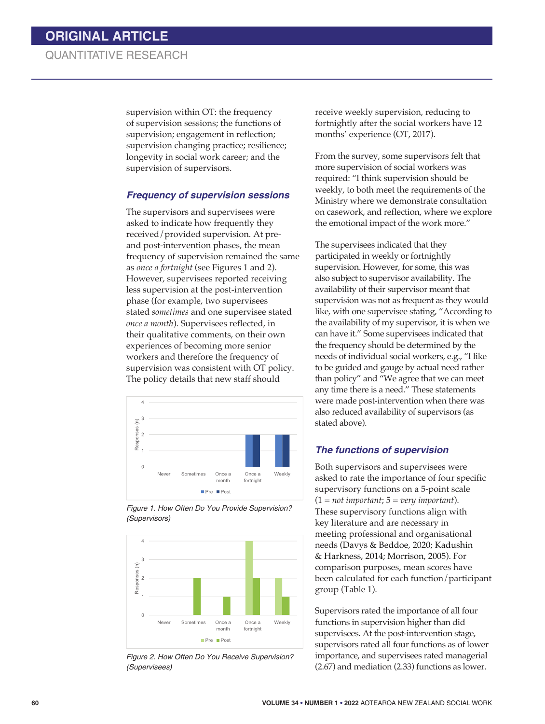supervision within OT: the frequency of supervision sessions; the functions of supervision; engagement in reflection; supervision changing practice; resilience; longevity in social work career; and the supervision of supervisors.

#### *Frequency of supervision sessions*

The supervisors and supervisees were asked to indicate how frequently they received/provided supervision. At preand post-intervention phases, the mean frequency of supervision remained the same as *once a fortnight* (see Figures 1 and 2). However, supervisees reported receiving less supervision at the post-intervention phase (for example, two supervisees stated *sometimes* and one supervisee stated *once a month*). Supervisees reflected, in their qualitative comments, on their own experiences of becoming more senior workers and therefore the frequency of supervision was consistent with OT policy. The policy details that new staff should



*Figure 1. How Often Do You Provide Supervision? (Supervisors)*



*Figure 2. How Often Do You Receive Supervision? (Supervisees)*

receive weekly supervision, reducing to fortnightly after the social workers have 12 months' experience (OT, 2017).

From the survey, some supervisors felt that more supervision of social workers was required: "I think supervision should be weekly, to both meet the requirements of the Ministry where we demonstrate consultation on casework, and reflection, where we explore the emotional impact of the work more."

The supervisees indicated that they participated in weekly or fortnightly supervision. However, for some, this was also subject to supervisor availability. The availability of their supervisor meant that supervision was not as frequent as they would like, with one supervisee stating, "According to the availability of my supervisor, it is when we can have it." Some supervisees indicated that the frequency should be determined by the needs of individual social workers, e.g., "I like to be guided and gauge by actual need rather than policy" and "We agree that we can meet any time there is a need." These statements were made post-intervention when there was also reduced availability of supervisors (as stated above).

### *The functions of supervision*

Both supervisors and supervisees were asked to rate the importance of four specific supervisory functions on a 5-point scale (1 = *not important*; 5 = *very important*). These supervisory functions align with key literature and are necessary in meeting professional and organisational needs (Davys & Beddoe, 2020; Kadushin & Harkness, 2014; Morrison, 2005). For comparison purposes, mean scores have been calculated for each function/participant group (Table 1).

Supervisors rated the importance of all four functions in supervision higher than did supervisees. At the post-intervention stage, supervisors rated all four functions as of lower importance, and supervisees rated managerial (2.67) and mediation (2.33) functions as lower.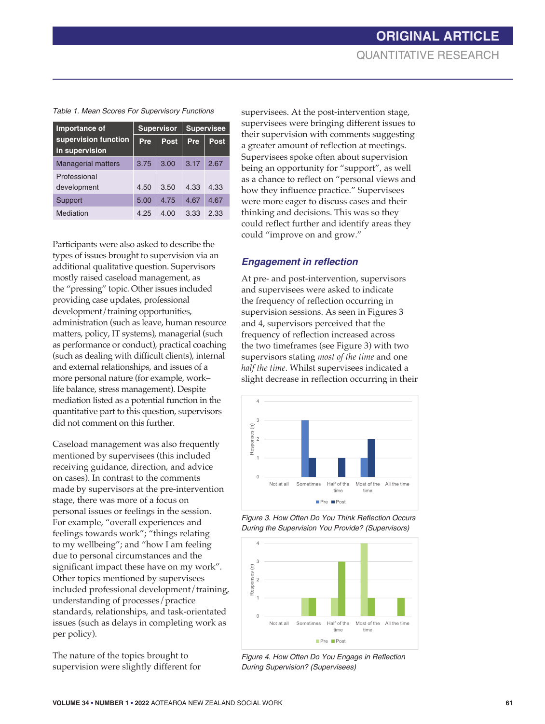| Importance of                          | <b>Supervisor</b> |      | <b>Supervisee</b> |             |
|----------------------------------------|-------------------|------|-------------------|-------------|
| supervision function<br>in supervision | Pre               | Post | Pre               | <b>Post</b> |
| <b>Managerial matters</b>              | 3.75              | 3.00 | 3.17              | 2.67        |
| Professional<br>development            | 4.50              | 3.50 | 4.33              | 4.33        |
| Support                                | 5.00              | 4.75 | 4.67              | 4.67        |
| Mediation                              | 4.25              | 4.00 | 3.33              | 2.33        |

Participants were also asked to describe the types of issues brought to supervision via an additional qualitative question. Supervisors mostly raised caseload management, as the "pressing" topic. Other issues included providing case updates, professional development/training opportunities, administration (such as leave, human resource matters, policy, IT systems), managerial (such as performance or conduct), practical coaching (such as dealing with difficult clients), internal and external relationships, and issues of a more personal nature (for example, work– life balance, stress management). Despite mediation listed as a potential function in the quantitative part to this question, supervisors did not comment on this further.

Caseload management was also frequently mentioned by supervisees (this included receiving guidance, direction, and advice on cases). In contrast to the comments made by supervisors at the pre-intervention stage, there was more of a focus on personal issues or feelings in the session. For example, "overall experiences and feelings towards work"; "things relating to my wellbeing"; and "how I am feeling due to personal circumstances and the significant impact these have on my work"*.* Other topics mentioned by supervisees included professional development/training, understanding of processes/practice standards, relationships, and task-orientated issues (such as delays in completing work as per policy).

The nature of the topics brought to supervision were slightly different for

supervisees. At the post-intervention stage, supervisees were bringing different issues to their supervision with comments suggesting a greater amount of reflection at meetings. Supervisees spoke often about supervision being an opportunity for "support", as well as a chance to reflect on "personal views and how they influence practice." Supervisees were more eager to discuss cases and their thinking and decisions. This was so they could reflect further and identify areas they could "improve on and grow."

#### **Engagement in reflection**

At pre- and post-intervention, supervisors and supervisees were asked to indicate the frequency of reflection occurring in supervision sessions. As seen in Figures 3 and 4, supervisors perceived that the frequency of reflection increased across the two timeframes (see Figure 3) with two supervisors stating *most of the time* and one *half the time*. Whilst supervisees indicated a slight decrease in reflection occurring in their







*Figure 4. How Often Do You Engage in Reflection During Supervision? (Supervisees)*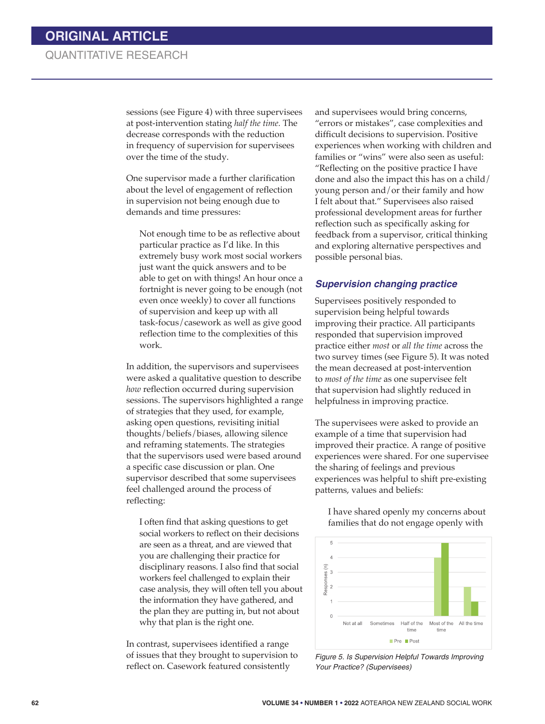sessions (see Figure 4) with three supervisees at post-intervention stating *half the time.* The decrease corresponds with the reduction in frequency of supervision for supervisees over the time of the study.

One supervisor made a further clarification about the level of engagement of reflection in supervision not being enough due to demands and time pressures:

Not enough time to be as reflective about particular practice as I'd like. In this extremely busy work most social workers just want the quick answers and to be able to get on with things! An hour once a fortnight is never going to be enough (not even once weekly) to cover all functions of supervision and keep up with all task-focus/casework as well as give good reflection time to the complexities of this work.

In addition, the supervisors and supervisees were asked a qualitative question to describe *how* reflection occurred during supervision sessions. The supervisors highlighted a range of strategies that they used, for example, asking open questions, revisiting initial thoughts/beliefs/biases, allowing silence and reframing statements. The strategies that the supervisors used were based around a specific case discussion or plan. One supervisor described that some supervisees feel challenged around the process of reflecting:

I often find that asking questions to get social workers to reflect on their decisions are seen as a threat, and are viewed that you are challenging their practice for disciplinary reasons. I also find that social workers feel challenged to explain their case analysis, they will often tell you about the information they have gathered, and the plan they are putting in, but not about why that plan is the right one.

In contrast, supervisees identified a range of issues that they brought to supervision to reflect on. Casework featured consistently

and supervisees would bring concerns, "errors or mistakes", case complexities and difficult decisions to supervision. Positive experiences when working with children and families or "wins" were also seen as useful: "Reflecting on the positive practice I have done and also the impact this has on a child/ young person and/or their family and how I felt about that." Supervisees also raised professional development areas for further reflection such as specifically asking for feedback from a supervisor, critical thinking and exploring alternative perspectives and possible personal bias.

#### *Supervision changing practice*

Supervisees positively responded to supervision being helpful towards improving their practice. All participants responded that supervision improved practice either *most* or *all the time* across the two survey times (see Figure 5). It was noted the mean decreased at post-intervention to *most of the time* as one supervisee felt that supervision had slightly reduced in helpfulness in improving practice.

The supervisees were asked to provide an example of a time that supervision had improved their practice. A range of positive experiences were shared. For one supervisee the sharing of feelings and previous experiences was helpful to shift pre-existing patterns, values and beliefs:

I have shared openly my concerns about families that do not engage openly with



*Figure 5. Is Supervision Helpful Towards Improving Your Practice? (Supervisees)*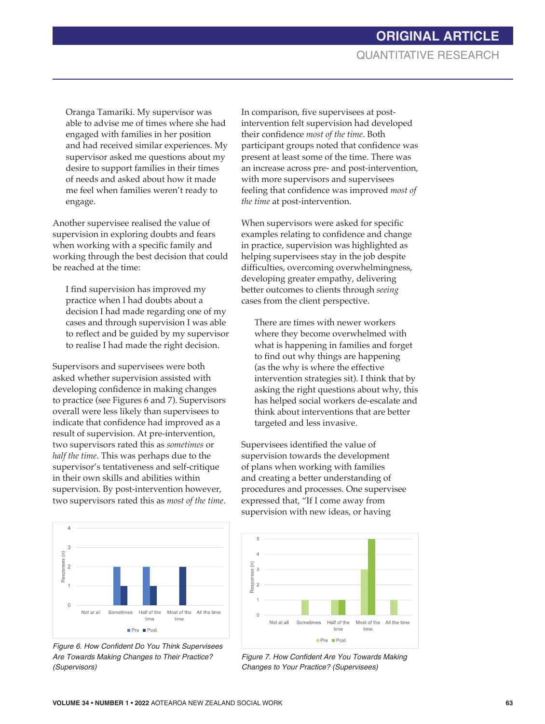Oranga Tamariki. My supervisor was able to advise me of times where she had engaged with families in her position and had received similar experiences. My supervisor asked me questions about my desire to support families in their times of needs and asked about how it made me feel when families weren't ready to engage.

Another supervisee realised the value of supervision in exploring doubts and fears when working with a specific family and working through the best decision that could be reached at the time:

I find supervision has improved my practice when I had doubts about a decision I had made regarding one of my cases and through supervision I was able to reflect and be guided by my supervisor to realise I had made the right decision.

Supervisors and supervisees were both asked whether supervision assisted with developing confidence in making changes to practice (see Figures 6 and 7). Supervisors overall were less likely than supervisees to indicate that confidence had improved as a result of supervision. At pre-intervention, two supervisors rated this as *sometimes* or *half the time*. This was perhaps due to the supervisor's tentativeness and self-critique in their own skills and abilities within supervision. By post-intervention however, two supervisors rated this as *most of the time*.



*Figure 6. How Confident Do You Think Supervisees Are Towards Making Changes to Their Practice? (Supervisors)*

In comparison, five supervisees at postintervention felt supervision had developed their confidence *most of the time*. Both participant groups noted that confidence was present at least some of the time. There was an increase across pre- and post-intervention, with more supervisors and supervisees feeling that confidence was improved *most of the time* at post-intervention.

When supervisors were asked for specific examples relating to confidence and change in practice, supervision was highlighted as helping supervisees stay in the job despite difficulties, overcoming overwhelmingness, developing greater empathy, delivering better outcomes to clients through *seeing* cases from the client perspective.

There are times with newer workers where they become overwhelmed with what is happening in families and forget to find out why things are happening (as the why is where the effective intervention strategies sit). I think that by asking the right questions about why, this has helped social workers de-escalate and think about interventions that are better targeted and less invasive.

Supervisees identified the value of supervision towards the development of plans when working with families and creating a better understanding of procedures and processes. One supervisee expressed that, "If I come away from supervision with new ideas, or having



*Figure 7. How Confident Are You Towards Making Changes to Your Practice? (Supervisees)*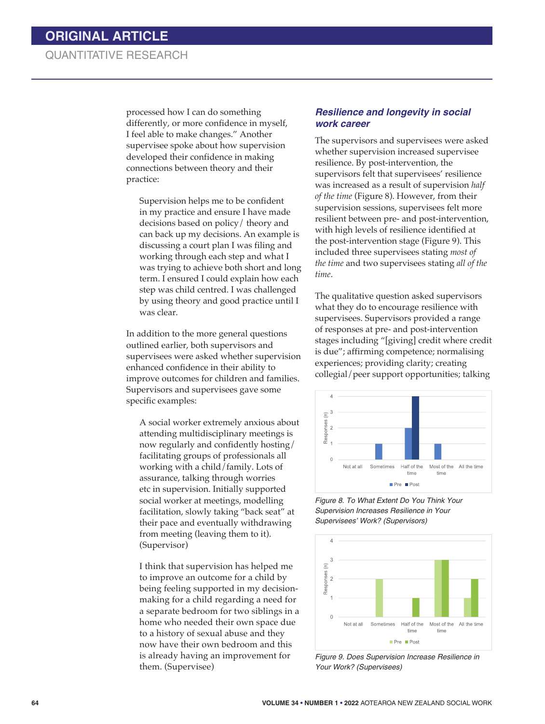processed how I can do something differently, or more confidence in myself, I feel able to make changes." Another supervisee spoke about how supervision developed their confidence in making connections between theory and their practice:

Supervision helps me to be confident in my practice and ensure I have made decisions based on policy/ theory and can back up my decisions. An example is discussing a court plan I was filing and working through each step and what I was trying to achieve both short and long term. I ensured I could explain how each step was child centred. I was challenged by using theory and good practice until I was clear.

In addition to the more general questions outlined earlier, both supervisors and supervisees were asked whether supervision enhanced confidence in their ability to improve outcomes for children and families. Supervisors and supervisees gave some specific examples:

A social worker extremely anxious about attending multidisciplinary meetings is now regularly and confidently hosting/ facilitating groups of professionals all working with a child/family. Lots of assurance, talking through worries etc in supervision. Initially supported social worker at meetings, modelling facilitation, slowly taking "back seat" at their pace and eventually withdrawing from meeting (leaving them to it). (Supervisor)

I think that supervision has helped me to improve an outcome for a child by being feeling supported in my decisionmaking for a child regarding a need for a separate bedroom for two siblings in a home who needed their own space due to a history of sexual abuse and they now have their own bedroom and this is already having an improvement for them. (Supervisee)

#### *Resilience and longevity in social work career*

The supervisors and supervisees were asked whether supervision increased supervisee resilience. By post-intervention, the supervisors felt that supervisees' resilience was increased as a result of supervision *half of the time* (Figure 8). However, from their supervision sessions, supervisees felt more resilient between pre- and post-intervention, with high levels of resilience identified at the post-intervention stage (Figure 9). This included three supervisees stating *most of the time* and two supervisees stating *all of the time*.

The qualitative question asked supervisors what they do to encourage resilience with supervisees. Supervisors provided a range of responses at pre- and post-intervention stages including "[giving] credit where credit is due"; affirming competence; normalising experiences; providing clarity; creating collegial/peer support opportunities; talking



*Figure 8. To What Extent Do You Think Your Supervision Increases Resilience in Your Supervisees' Work? (Supervisors)*



*Figure 9. Does Supervision Increase Resilience in Your Work? (Supervisees)*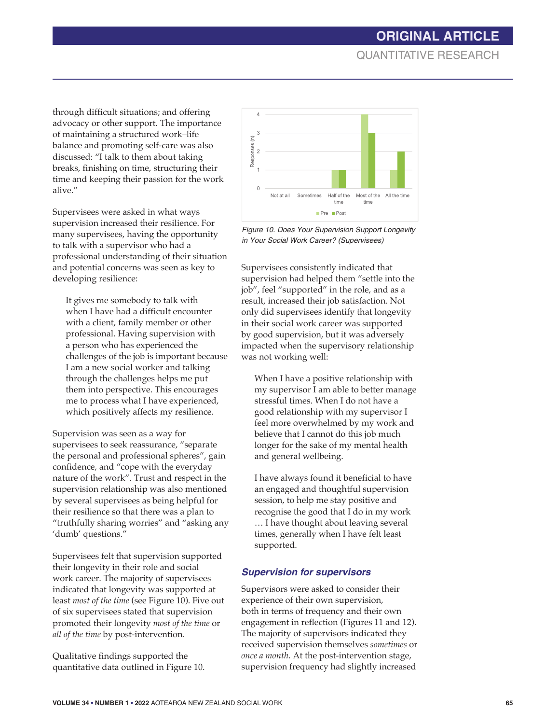through difficult situations; and offering advocacy or other support. The importance of maintaining a structured work–life balance and promoting self-care was also discussed: "I talk to them about taking breaks, finishing on time, structuring their time and keeping their passion for the work alive."

Supervisees were asked in what ways supervision increased their resilience. For many supervisees, having the opportunity to talk with a supervisor who had a professional understanding of their situation and potential concerns was seen as key to developing resilience:

It gives me somebody to talk with when I have had a difficult encounter with a client, family member or other professional. Having supervision with a person who has experienced the challenges of the job is important because I am a new social worker and talking through the challenges helps me put them into perspective. This encourages me to process what I have experienced, which positively affects my resilience.

Supervision was seen as a way for supervisees to seek reassurance, "separate the personal and professional spheres", gain confidence, and "cope with the everyday nature of the work". Trust and respect in the supervision relationship was also mentioned by several supervisees as being helpful for their resilience so that there was a plan to "truthfully sharing worries" and "asking any 'dumb' questions."

Supervisees felt that supervision supported their longevity in their role and social work career. The majority of supervisees indicated that longevity was supported at least *most of the time* (see Figure 10). Five out of six supervisees stated that supervision promoted their longevity *most of the time* or *all of the time* by post-intervention.

Qualitative findings supported the quantitative data outlined in Figure 10.



*Figure 10. Does Your Supervision Support Longevity in Your Social Work Career? (Supervisees)*

Supervisees consistently indicated that supervision had helped them "settle into the job", feel "supported" in the role, and as a result, increased their job satisfaction. Not only did supervisees identify that longevity in their social work career was supported by good supervision, but it was adversely impacted when the supervisory relationship was not working well:

When I have a positive relationship with my supervisor I am able to better manage stressful times. When I do not have a good relationship with my supervisor I feel more overwhelmed by my work and believe that I cannot do this job much longer for the sake of my mental health and general wellbeing.

I have always found it beneficial to have an engaged and thoughtful supervision session, to help me stay positive and recognise the good that I do in my work … I have thought about leaving several times, generally when I have felt least supported.

#### *Supervision for supervisors*

Supervisors were asked to consider their experience of their own supervision, both in terms of frequency and their own engagement in reflection (Figures 11 and 12). The majority of supervisors indicated they received supervision themselves *sometimes* or *once a month*. At the post-intervention stage, supervision frequency had slightly increased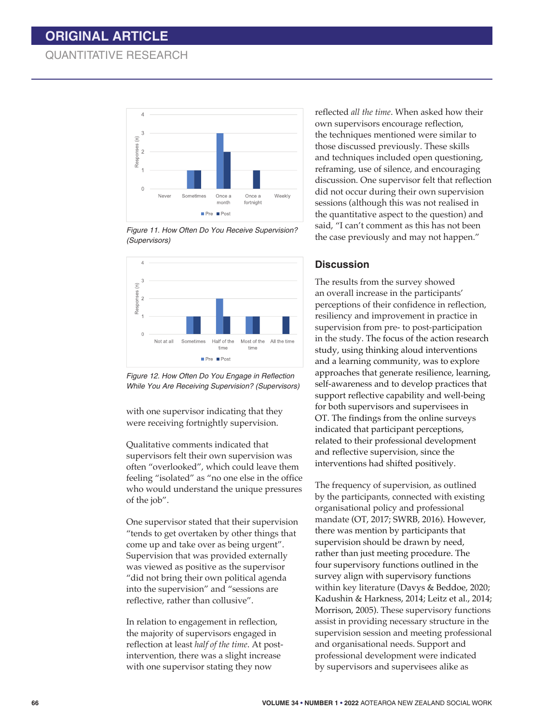## **ORIGINAL ARTICLE**

### QUANTITATIVE RESEARCH



*Figure 11. How Often Do You Receive Supervision? (Supervisors)*



*Figure 12. How Often Do You Engage in Reflection While You Are Receiving Supervision? (Supervisors)*

with one supervisor indicating that they were receiving fortnightly supervision.

Qualitative comments indicated that supervisors felt their own supervision was often "overlooked", which could leave them feeling "isolated" as "no one else in the office who would understand the unique pressures of the job".

One supervisor stated that their supervision "tends to get overtaken by other things that come up and take over as being urgent". Supervision that was provided externally was viewed as positive as the supervisor "did not bring their own political agenda into the supervision" and "sessions are reflective, rather than collusive".

In relation to engagement in reflection, the majority of supervisors engaged in reflection at least *half of the time*. At postintervention, there was a slight increase with one supervisor stating they now

reflected *all the time*. When asked how their own supervisors encourage reflection, the techniques mentioned were similar to those discussed previously. These skills and techniques included open questioning, reframing, use of silence, and encouraging discussion. One supervisor felt that reflection did not occur during their own supervision sessions (although this was not realised in the quantitative aspect to the question) and said, "I can't comment as this has not been the case previously and may not happen."

#### **Discussion**

 The results from the survey showed an overall increase in the participants' perceptions of their confidence in reflection, resiliency and improvement in practice in supervision from pre- to post-participation in the study. The focus of the action research study, using thinking aloud interventions and a learning community, was to explore approaches that generate resilience, learning, self-awareness and to develop practices that support reflective capability and well-being for both supervisors and supervisees in OT. The findings from the online surveys indicated that participant perceptions, related to their professional development and reflective supervision, since the interventions had shifted positively.

The frequency of supervision, as outlined by the participants, connected with existing organisational policy and professional mandate (OT, 2017; SWRB, 2016). However, there was mention by participants that supervision should be drawn by need, rather than just meeting procedure. The four supervisory functions outlined in the survey align with supervisory functions within key literature (Davys & Beddoe, 2020; Kadushin & Harkness, 2014; Leitz et al., 2014; Morrison, 2005). These supervisory functions assist in providing necessary structure in the supervision session and meeting professional and organisational needs. Support and professional development were indicated by supervisors and supervisees alike as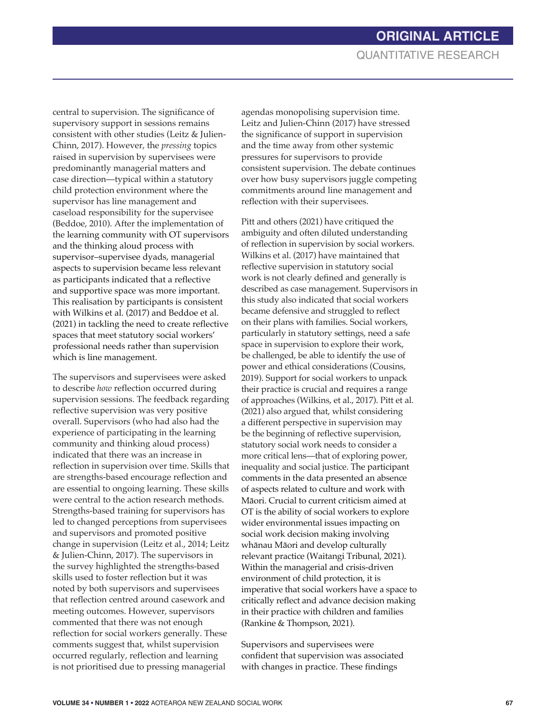central to supervision. The significance of supervisory support in sessions remains consistent with other studies (Leitz & Julien-Chinn, 2017). However, the *pressing* topics raised in supervision by supervisees were predominantly managerial matters and case direction—typical within a statutory child protection environment where the supervisor has line management and caseload responsibility for the supervisee (Beddoe, 2010). After the implementation of the learning community with OT supervisors and the thinking aloud process with supervisor–supervisee dyads, managerial aspects to supervision became less relevant as participants indicated that a reflective and supportive space was more important. This realisation by participants is consistent with Wilkins et al. (2017) and Beddoe et al. (2021) in tackling the need to create reflective spaces that meet statutory social workers' professional needs rather than supervision which is line management.

The supervisors and supervisees were asked to describe *how* reflection occurred during supervision sessions. The feedback regarding reflective supervision was very positive overall. Supervisors (who had also had the experience of participating in the learning community and thinking aloud process) indicated that there was an increase in reflection in supervision over time. Skills that are strengths-based encourage reflection and are essential to ongoing learning. These skills were central to the action research methods. Strengths-based training for supervisors has led to changed perceptions from supervisees and supervisors and promoted positive change in supervision (Leitz et al., 2014; Leitz & Julien-Chinn, 2017). The supervisors in the survey highlighted the strengths-based skills used to foster reflection but it was noted by both supervisors and supervisees that reflection centred around casework and meeting outcomes. However, supervisors commented that there was not enough reflection for social workers generally. These comments suggest that, whilst supervision occurred regularly, reflection and learning is not prioritised due to pressing managerial

agendas monopolising supervision time. Leitz and Julien-Chinn (2017) have stressed the significance of support in supervision and the time away from other systemic pressures for supervisors to provide consistent supervision. The debate continues over how busy supervisors juggle competing commitments around line management and reflection with their supervisees.

Pitt and others (2021) have critiqued the ambiguity and often diluted understanding of reflection in supervision by social workers. Wilkins et al. (2017) have maintained that reflective supervision in statutory social work is not clearly defined and generally is described as case management. Supervisors in this study also indicated that social workers became defensive and struggled to reflect on their plans with families. Social workers, particularly in statutory settings, need a safe space in supervision to explore their work, be challenged, be able to identify the use of power and ethical considerations (Cousins, 2019). Support for social workers to unpack their practice is crucial and requires a range of approaches (Wilkins, et al., 2017). Pitt et al. (2021) also argued that, whilst considering a different perspective in supervision may be the beginning of reflective supervision, statutory social work needs to consider a more critical lens—that of exploring power, inequality and social justice. The participant comments in the data presented an absence of aspects related to culture and work with Māori. Crucial to current criticism aimed at OT is the ability of social workers to explore wider environmental issues impacting on social work decision making involving whānau Māori and develop culturally relevant practice (Waitangi Tribunal, 2021). Within the managerial and crisis-driven environment of child protection, it is imperative that social workers have a space to critically reflect and advance decision making in their practice with children and families (Rankine & Thompson, 2021).

Supervisors and supervisees were confident that supervision was associated with changes in practice. These findings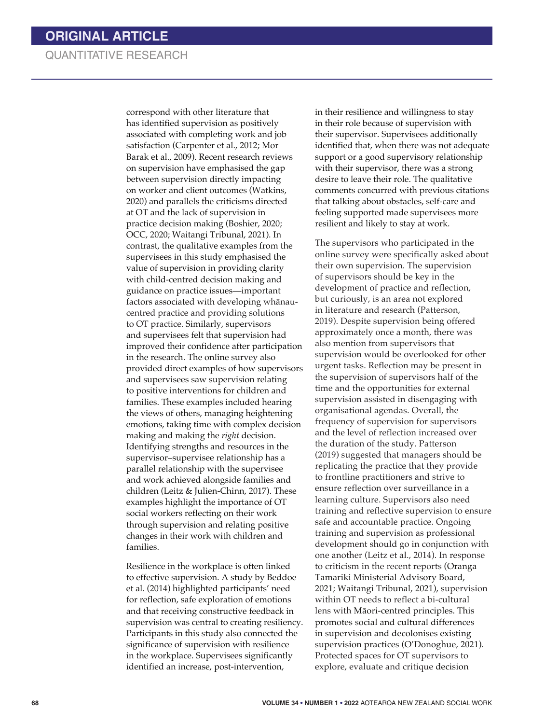correspond with other literature that has identified supervision as positively associated with completing work and job satisfaction (Carpenter et al., 2012; Mor Barak et al., 2009). Recent research reviews on supervision have emphasised the gap between supervision directly impacting on worker and client outcomes (Watkins, 2020) and parallels the criticisms directed at OT and the lack of supervision in practice decision making (Boshier, 2020; OCC, 2020; Waitangi Tribunal, 2021). In contrast, the qualitative examples from the supervisees in this study emphasised the value of supervision in providing clarity with child-centred decision making and guidance on practice issues—important factors associated with developing whānaucentred practice and providing solutions to OT practice. Similarly, supervisors and supervisees felt that supervision had improved their confidence after participation in the research. The online survey also provided direct examples of how supervisors and supervisees saw supervision relating to positive interventions for children and families. These examples included hearing the views of others, managing heightening emotions, taking time with complex decision making and making the *right* decision. Identifying strengths and resources in the supervisor–supervisee relationship has a parallel relationship with the supervisee and work achieved alongside families and children (Leitz & Julien-Chinn, 2017). These examples highlight the importance of OT social workers reflecting on their work through supervision and relating positive changes in their work with children and families.

Resilience in the workplace is often linked to effective supervision. A study by Beddoe et al. (2014) highlighted participants' need for reflection, safe exploration of emotions and that receiving constructive feedback in supervision was central to creating resiliency. Participants in this study also connected the significance of supervision with resilience in the workplace. Supervisees significantly identified an increase, post-intervention,

in their resilience and willingness to stay in their role because of supervision with their supervisor. Supervisees additionally identified that, when there was not adequate support or a good supervisory relationship with their supervisor, there was a strong desire to leave their role. The qualitative comments concurred with previous citations that talking about obstacles, self-care and feeling supported made supervisees more resilient and likely to stay at work.

The supervisors who participated in the online survey were specifically asked about their own supervision. The supervision of supervisors should be key in the development of practice and reflection, but curiously, is an area not explored in literature and research (Patterson, 2019). Despite supervision being offered approximately once a month, there was also mention from supervisors that supervision would be overlooked for other urgent tasks. Reflection may be present in the supervision of supervisors half of the time and the opportunities for external supervision assisted in disengaging with organisational agendas. Overall, the frequency of supervision for supervisors and the level of reflection increased over the duration of the study. Patterson (2019) suggested that managers should be replicating the practice that they provide to frontline practitioners and strive to ensure reflection over surveillance in a learning culture. Supervisors also need training and reflective supervision to ensure safe and accountable practice. Ongoing training and supervision as professional development should go in conjunction with one another (Leitz et al., 2014). In response to criticism in the recent reports (Oranga Tamariki Ministerial Advisory Board, 2021; Waitangi Tribunal, 2021), supervision within OT needs to reflect a bi-cultural lens with Māori-centred principles. This promotes social and cultural differences in supervision and decolonises existing supervision practices (O'Donoghue, 2021). Protected spaces for OT supervisors to explore, evaluate and critique decision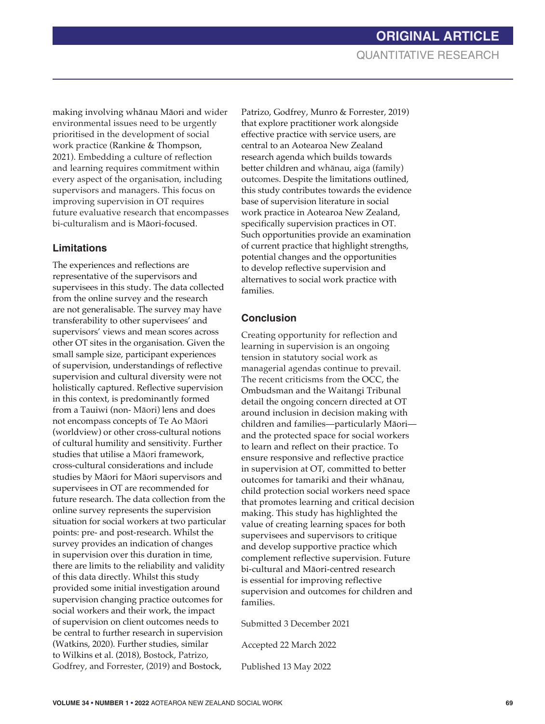making involving whānau Māori and wider environmental issues need to be urgently prioritised in the development of social work practice (Rankine & Thompson, 2021). Embedding a culture of reflection and learning requires commitment within every aspect of the organisation, including supervisors and managers. This focus on improving supervision in OT requires future evaluative research that encompasses bi-culturalism and is Māori-focused.

### **Limitations**

The experiences and reflections are representative of the supervisors and supervisees in this study. The data collected from the online survey and the research are not generalisable. The survey may have transferability to other supervisees' and supervisors' views and mean scores across other OT sites in the organisation. Given the small sample size, participant experiences of supervision, understandings of reflective supervision and cultural diversity were not holistically captured. Reflective supervision in this context, is predominantly formed from a Tauiwi (non- Māori) lens and does not encompass concepts of Te Ao Māori (worldview) or other cross-cultural notions of cultural humility and sensitivity. Further studies that utilise a Māori framework, cross-cultural considerations and include studies by Māori for Māori supervisors and supervisees in OT are recommended for future research. The data collection from the online survey represents the supervision situation for social workers at two particular points: pre- and post-research. Whilst the survey provides an indication of changes in supervision over this duration in time, there are limits to the reliability and validity of this data directly. Whilst this study provided some initial investigation around supervision changing practice outcomes for social workers and their work, the impact of supervision on client outcomes needs to be central to further research in supervision (Watkins, 2020). Further studies, similar to Wilkins et al. (2018), Bostock, Patrizo, Godfrey, and Forrester, (2019) and Bostock,

Patrizo, Godfrey, Munro & Forrester, 2019) that explore practitioner work alongside effective practice with service users, are central to an Aotearoa New Zealand research agenda which builds towards better children and whānau, aiga (family) outcomes. Despite the limitations outlined, this study contributes towards the evidence base of supervision literature in social work practice in Aotearoa New Zealand, specifically supervision practices in OT. Such opportunities provide an examination of current practice that highlight strengths, potential changes and the opportunities to develop reflective supervision and alternatives to social work practice with families.

### **Conclusion**

Creating opportunity for reflection and learning in supervision is an ongoing tension in statutory social work as managerial agendas continue to prevail. The recent criticisms from the OCC, the Ombudsman and the Waitangi Tribunal detail the ongoing concern directed at OT around inclusion in decision making with children and families—particularly Māori and the protected space for social workers to learn and reflect on their practice. To ensure responsive and reflective practice in supervision at OT, committed to better outcomes for tamariki and their whānau, child protection social workers need space that promotes learning and critical decision making. This study has highlighted the value of creating learning spaces for both supervisees and supervisors to critique and develop supportive practice which complement reflective supervision. Future bi-cultural and Māori-centred research is essential for improving reflective supervision and outcomes for children and families.

Submitted 3 December 2021

Accepted 22 March 2022

Published 13 May 2022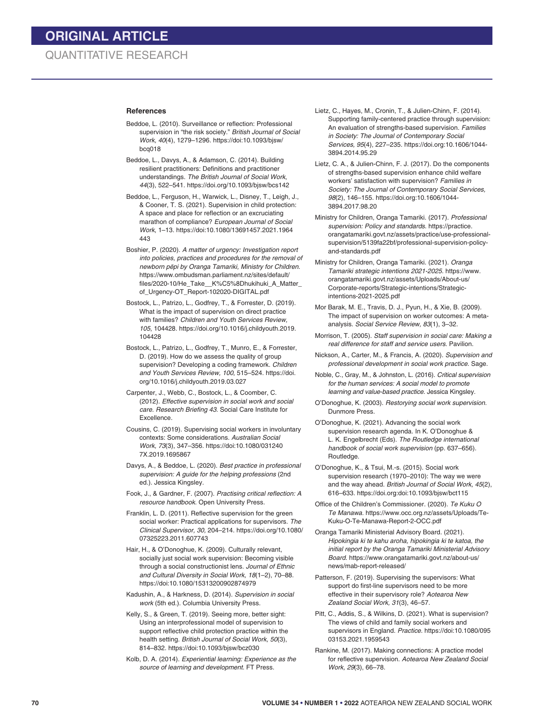#### **References**

- Beddoe, L. (2010). Surveillance or reflection: Professional supervision in "the risk society." *British Journal of Social Work, 40*(4), 1279–1296. https://doi:10.1093/bjsw/ bcq018
- Beddoe, L., Davys, A., & Adamson, C. (2014). Building resilient practitioners: Definitions and practitioner understandings. *The British Journal of Social Work*, *44*(3), 522–541. https://doi.org/10.1093/bjsw/bcs142
- Beddoe, L., Ferguson, H., Warwick, L., Disney, T., Leigh, J., & Cooner, T. S. (2021). Supervision in child protection: A space and place for reflection or an excruciating marathon of compliance? *European Journal of Social Work*, 1–13. https://doi:10.1080/13691457.2021.1964 443
- Boshier, P. (2020). *A matter of urgency: Investigation report into policies, practices and procedures for the removal of newborn pēpi by Oranga Tamariki, Ministry for Children.* https://www.ombudsman.parliament.nz/sites/default/ files/2020-10/He\_Take\_\_K%C5%8Dhukihuki\_A\_Matter\_ of\_Urgency-OT\_Report-102020-DIGITAL.pdf
- Bostock, L., Patrizo, L., Godfrey, T., & Forrester, D. (2019). What is the impact of supervision on direct practice with families? *Children and Youth Services Review, 105*, 104428. https://doi.org/10.1016/j.childyouth.2019. 104428
- Bostock, L., Patrizo, L., Godfrey, T., Munro, E., & Forrester, D. (2019). How do we assess the quality of group supervision? Developing a coding framework. *Children and Youth Services Review, 100*, 515–524. https://doi. org/10.1016/j.childyouth.2019.03.027
- Carpenter, J., Webb, C., Bostock, L., & Coomber, C. (2012). *Effective supervision in social work and social care. Research Briefing 43*. Social Care Institute for Excellence*.*
- Cousins, C. (2019). Supervising social workers in involuntary contexts: Some considerations. *Australian Social Work, 73*(3), 347–356. https://doi:10.1080/031240 7X.2019.1695867
- Davys, A., & Beddoe, L. (2020). *Best practice in professional supervision: A guide for the helping professions* (2nd ed.). Jessica Kingsley.
- Fook, J., & Gardner, F. (2007). *Practising critical reflection: A resource handbook*. Open University Press.
- Franklin, L. D. (2011). Reflective supervision for the green social worker: Practical applications for supervisors. *The Clinical Supervisor, 30,* 204–214. https://doi.org/10.1080/ 07325223.2011.607743
- Hair, H., & O'Donoghue, K. (2009). Culturally relevant, socially just social work supervision: Becoming visible through a social constructionist lens. *Journal of Ethnic and Cultural Diversity in Social Work, 18*(1–2), 70–88. https://doi:10.1080/15313200902874979
- Kadushin, A., & Harkness, D. (2014). *Supervision in social work* (5th ed.). Columbia University Press.
- Kelly, S., & Green, T. (2019). Seeing more, better sight: Using an interprofessional model of supervision to support reflective child protection practice within the health setting. *British Journal of Social Work, 50*(3), 814–832. https://doi:10.1093/bjsw/bcz030
- Kolb, D. A. (2014). *Experiential learning: Experience as the source of learning and development*. FT Press.
- Lietz, C., Hayes, M., Cronin, T., & Julien-Chinn, F. (2014). Supporting family-centered practice through supervision: An evaluation of strengths-based supervision. *Families in Society: The Journal of Contemporary Social Services, 95*(4), 227–235. https://doi.org:10.1606/1044- 3894.2014.95.29
- Lietz, C. A., & Julien-Chinn, F. J. (2017). Do the components of strengths-based supervision enhance child welfare workers' satisfaction with supervision? *Families in Society: The Journal of Contemporary Social Services, 98*(2), 146–155. https://doi.org:10.1606/1044- 3894.2017.98.20
- Ministry for Children, Oranga Tamariki. (2017). *Professional supervision: Policy and standards*. https://practice. orangatamariki.govt.nz/assets/practice/use-professionalsupervision/5139fa22bf/professional-supervision-policyand-standards.pdf
- Ministry for Children, Oranga Tamariki. (2021). *Oranga Tamariki strategic intentions 2021-2025.* https://www. orangatamariki.govt.nz/assets/Uploads/About-us/ Corporate-reports/Strategic-intentions/Strategicintentions-2021-2025.pdf
- Mor Barak, M. E., Travis, D. J., Pyun, H., & Xie, B. (2009). The impact of supervision on worker outcomes: A metaanalysis. *Social Service Review, 83*(1), 3–32.
- Morrison, T. (2005). *Staff supervision in social care: Making a real difference for staff and service users*. Pavilion.
- Nickson, A., Carter, M., & Francis, A. (2020). *Supervision and professional development in social work practice.* Sage.
- Noble, C., Gray, M., & Johnston, L. (2016). *Critical supervision for the human services: A social model to promote learning and value-based practice*. Jessica Kingsley.
- O'Donoghue, K. (2003). *Restorying social work supervision.* Dunmore Press.
- O'Donoghue, K. (2021). Advancing the social work supervision research agenda. In K. O'Donoghue & L. K. Engelbrecht (Eds). *The Routledge international handbook of social work supervision* (pp. 637–656). Routledge.
- O'Donoghue, K., & Tsui, M.-s. (2015). Social work supervision research (1970–2010): The way we were and the way ahead. *British Journal of Social Work, 45*(2), 616–633. https://doi.org:doi:10.1093/bjsw/bct115
- Office of the Children's Commissioner. (2020). *Te Kuku O Te Manawa.* https://www.occ.org.nz/assets/Uploads/Te-Kuku-O-Te-Manawa-Report-2-OCC.pdf
- Oranga Tamariki Ministerial Advisory Board. (2021). *Hipokingia ki te kahu aroha, hipokingia ki te katoa, the initial report by the Oranga Tamariki Ministerial Advisory Board.* https://www.orangatamariki.govt.nz/about-us/ news/mab-report-released/
- Patterson, F. (2019). Supervising the supervisors: What support do first-line supervisors need to be more effective in their supervisory role? *Aotearoa New Zealand Social Work, 31*(3), 46–57.
- Pitt, C., Addis, S., & Wilkins, D. (2021). What is supervision? The views of child and family social workers and supervisors in England. *Practice.* https://doi:10.1080/095 03153.2021.1959543
- Rankine, M. (2017). Making connections: A practice model for reflective supervision. *Aotearoa New Zealand Social Work, 29*(3), 66–78.